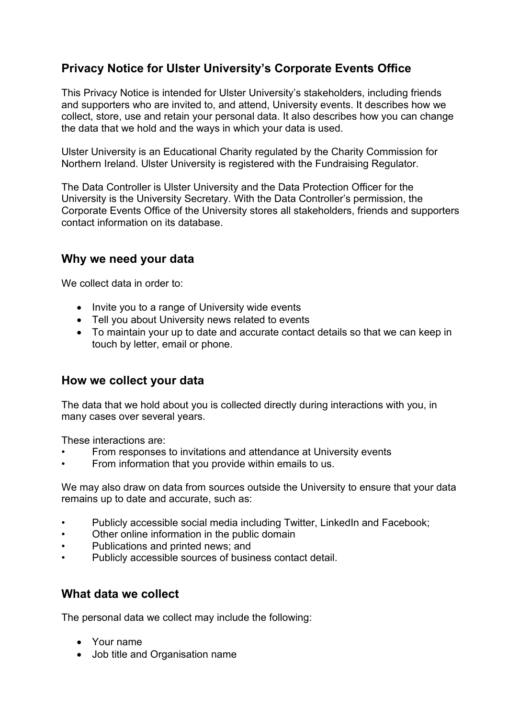## **Privacy Notice for Ulster University's Corporate Events Office**

This Privacy Notice is intended for Ulster University's stakeholders, including friends and supporters who are invited to, and attend, University events. It describes how we collect, store, use and retain your personal data. It also describes how you can change the data that we hold and the ways in which your data is used.

Ulster University is an Educational Charity regulated by the Charity Commission for Northern Ireland. Ulster University is registered with the Fundraising Regulator.

The Data Controller is Ulster University and the Data Protection Officer for the University is the University Secretary. With the Data Controller's permission, the Corporate Events Office of the University stores all stakeholders, friends and supporters contact information on its database.

### **Why we need your data**

We collect data in order to:

- Invite you to a range of University wide events
- Tell you about University news related to events
- To maintain your up to date and accurate contact details so that we can keep in touch by letter, email or phone.

#### **How we collect your data**

The data that we hold about you is collected directly during interactions with you, in many cases over several years.

These interactions are:

- From responses to invitations and attendance at University events
- From information that you provide within emails to us.

We may also draw on data from sources outside the University to ensure that your data remains up to date and accurate, such as:

- Publicly accessible social media including Twitter, LinkedIn and Facebook;
- Other online information in the public domain
- Publications and printed news; and
- Publicly accessible sources of business contact detail.

#### **What data we collect**

The personal data we collect may include the following:

- Your name
- Job title and Organisation name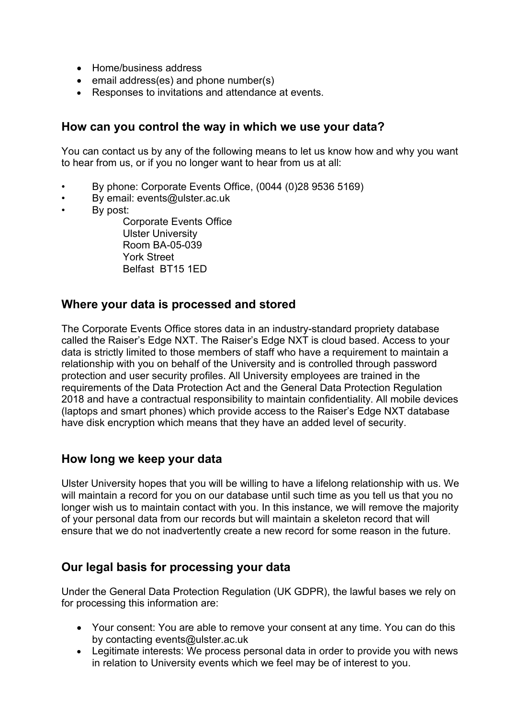- Home/business address
- email address(es) and phone number(s)
- Responses to invitations and attendance at events.

### **How can you control the way in which we use your data?**

You can contact us by any of the following means to let us know how and why you want to hear from us, or if you no longer want to hear from us at all:

- By phone: Corporate Events Office, (0044 (0)28 9536 5169)
- By email: events@ulster.ac.uk
- By post:

Corporate Events Office Ulster University Room BA-05-039 York Street Belfast BT15 1ED

#### **Where your data is processed and stored**

The Corporate Events Office stores data in an industry-standard propriety database called the Raiser's Edge NXT. The Raiser's Edge NXT is cloud based. Access to your data is strictly limited to those members of staff who have a requirement to maintain a relationship with you on behalf of the University and is controlled through password protection and user security profiles. All University employees are trained in the requirements of the Data Protection Act and the General Data Protection Regulation 2018 and have a contractual responsibility to maintain confidentiality. All mobile devices (laptops and smart phones) which provide access to the Raiser's Edge NXT database have disk encryption which means that they have an added level of security.

### **How long we keep your data**

Ulster University hopes that you will be willing to have a lifelong relationship with us. We will maintain a record for you on our database until such time as you tell us that you no longer wish us to maintain contact with you. In this instance, we will remove the majority of your personal data from our records but will maintain a skeleton record that will ensure that we do not inadvertently create a new record for some reason in the future.

#### **Our legal basis for processing your data**

Under the General Data Protection Regulation (UK GDPR), the lawful bases we rely on for processing this information are:

- Your consent: You are able to remove your consent at any time. You can do this by contacting events@ulster.ac.uk
- Legitimate interests: We process personal data in order to provide you with news in relation to University events which we feel may be of interest to you.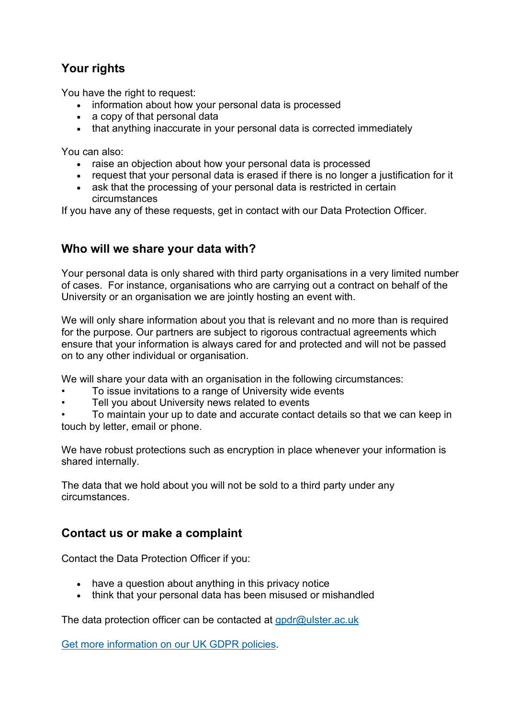# **Your rights**

You have the right to request:

- information about how your personal data is processed
- a copy of that personal data
- that anything inaccurate in your personal data is corrected immediately

You can also:

- raise an objection about how your personal data is processed
- request that your personal data is erased if there is no longer a justification for it
- ask that the processing of your personal data is restricted in certain circumstances

If you have any of these requests, get in contact with our Data Protection Officer.

### **Who will we share your data with?**

Your personal data is only shared with third party organisations in a very limited number of cases. For instance, organisations who are carrying out a contract on behalf of the University or an organisation we are jointly hosting an event with.

We will only share information about you that is relevant and no more than is required for the purpose. Our partners are subject to rigorous contractual agreements which ensure that your information is always cared for and protected and will not be passed on to any other individual or organisation.

We will share your data with an organisation in the following circumstances:

- To issue invitations to a range of University wide events
- Tell you about University news related to events

• To maintain your up to date and accurate contact details so that we can keep in touch by letter, email or phone.

We have robust protections such as encryption in place whenever your information is shared internally.

The data that we hold about you will not be sold to a third party under any circumstances.

### **Contact us or make a complaint**

Contact the Data Protection Officer if you:

- have a question about anything in this privacy notice
- think that your personal data has been misused or mishandled

The data protection officer can be contacted at [gpdr@ulster.ac.uk](mailto:gpdr@ulster.ac.uk)

[Get more information on our UK GDPR policies.](https://www.ulster.ac.uk/about/governance/compliance/gdpr)